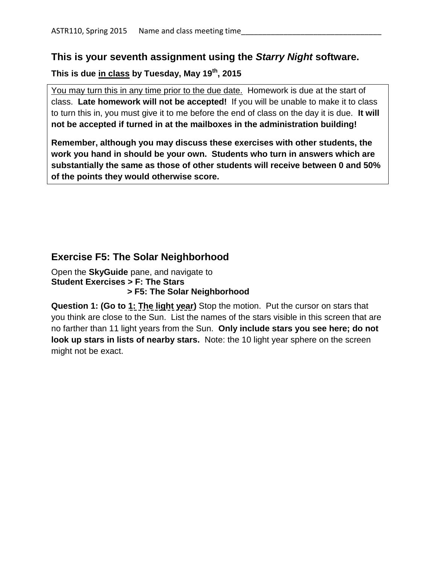## **This is your seventh assignment using the** *Starry Night* **software.**

## **This is due in class by Tuesday, May 19th, 2015**

You may turn this in any time prior to the due date. Homework is due at the start of class. **Late homework will not be accepted!** If you will be unable to make it to class to turn this in, you must give it to me before the end of class on the day it is due. **It will not be accepted if turned in at the mailboxes in the administration building!**

**Remember, although you may discuss these exercises with other students, the work you hand in should be your own. Students who turn in answers which are substantially the same as those of other students will receive between 0 and 50% of the points they would otherwise score.**

## **Exercise F5: The Solar Neighborhood**

Open the **SkyGuide** pane, and navigate to **Student Exercises > F: The Stars > F5: The Solar Neighborhood**

**Question 1: (Go to 1: The light year)** Stop the motion. Put the cursor on stars that you think are close to the Sun. List the names of the stars visible in this screen that are no farther than 11 light years from the Sun. **Only include stars you see here; do not look up stars in lists of nearby stars.** Note: the 10 light year sphere on the screen might not be exact.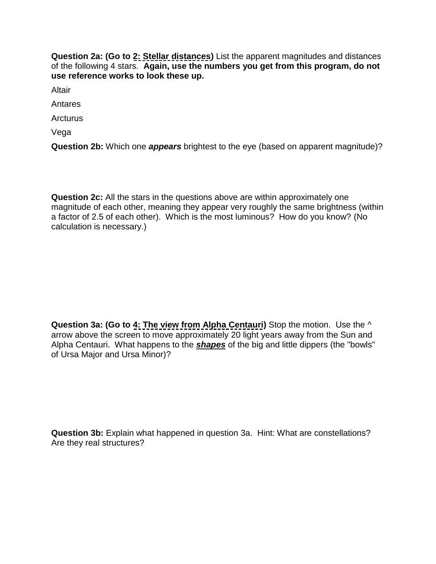**Question 2a: (Go to 2: Stellar distances)** List the apparent magnitudes and distances of the following 4 stars. **Again, use the numbers you get from this program, do not use reference works to look these up.**

Altair

Antares

Arcturus

Vega

**Question 2b:** Which one *appears* brightest to the eye (based on apparent magnitude)?

**Question 2c:** All the stars in the questions above are within approximately one magnitude of each other, meaning they appear very roughly the same brightness (within a factor of 2.5 of each other). Which is the most luminous? How do you know? (No calculation is necessary.)

**Question 3a: (Go to 4: The view from Alpha Centauri)** Stop the motion. Use the  $\wedge$ arrow above the screen to move approximately 20 light years away from the Sun and Alpha Centauri. What happens to the *shapes* of the big and little dippers (the "bowls" of Ursa Major and Ursa Minor)?

**Question 3b:** Explain what happened in question 3a. Hint: What are constellations? Are they real structures?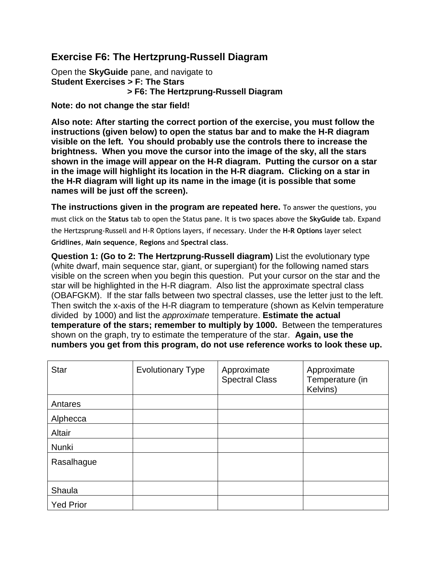## **Exercise F6: The Hertzprung-Russell Diagram**

Open the **SkyGuide** pane, and navigate to **Student Exercises > F: The Stars > F6: The Hertzprung-Russell Diagram**

**Note: do not change the star field!**

**Also note: After starting the correct portion of the exercise, you must follow the instructions (given below) to open the status bar and to make the H-R diagram visible on the left. You should probably use the controls there to increase the brightness. When you move the cursor into the image of the sky, all the stars shown in the image will appear on the H-R diagram. Putting the cursor on a star in the image will highlight its location in the H-R diagram. Clicking on a star in the H-R diagram will light up its name in the image (it is possible that some names will be just off the screen).** 

**The instructions given in the program are repeated here.** To answer the questions, you must click on the **Status** tab to open the Status pane. It is two spaces above the **SkyGuide** tab. Expand the Hertzsprung-Russell and H-R Options layers, if necessary. Under the **H-R Options** layer select **Gridlines**, **Main sequence**, **Regions** and **Spectral class**.

**Question 1: (Go to 2: The Hertzprung-Russell diagram)** List the evolutionary type (white dwarf, main sequence star, giant, or supergiant) for the following named stars visible on the screen when you begin this question. Put your cursor on the star and the star will be highlighted in the H-R diagram. Also list the approximate spectral class (OBAFGKM). If the star falls between two spectral classes, use the letter just to the left. Then switch the x-axis of the H-R diagram to temperature (shown as Kelvin temperature divided by 1000) and list the *approximate* temperature. **Estimate the actual temperature of the stars; remember to multiply by 1000.** Between the temperatures shown on the graph, try to estimate the temperature of the star. **Again, use the numbers you get from this program, do not use reference works to look these up.**

| <b>Star</b>      | <b>Evolutionary Type</b> | Approximate<br><b>Spectral Class</b> | Approximate<br>Temperature (in<br>Kelvins) |
|------------------|--------------------------|--------------------------------------|--------------------------------------------|
| Antares          |                          |                                      |                                            |
| Alphecca         |                          |                                      |                                            |
| Altair           |                          |                                      |                                            |
| Nunki            |                          |                                      |                                            |
| Rasalhague       |                          |                                      |                                            |
|                  |                          |                                      |                                            |
| Shaula           |                          |                                      |                                            |
| <b>Yed Prior</b> |                          |                                      |                                            |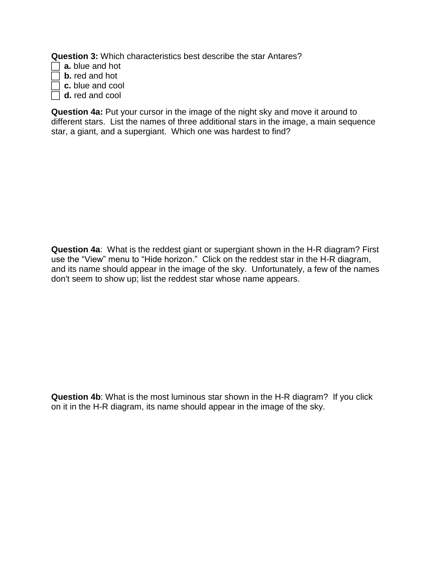**Question 3:** Which characteristics best describe the star Antares?

- **a.** blue and hot
- **b.** red and hot
- **c.** blue and cool
- **d.** red and cool

**Question 4a:** Put your cursor in the image of the night sky and move it around to different stars. List the names of three additional stars in the image, a main sequence star, a giant, and a supergiant. Which one was hardest to find?

**Question 4a**: What is the reddest giant or supergiant shown in the H-R diagram? First use the "View" menu to "Hide horizon." Click on the reddest star in the H-R diagram, and its name should appear in the image of the sky. Unfortunately, a few of the names don't seem to show up; list the reddest star whose name appears.

**Question 4b**: What is the most luminous star shown in the H-R diagram? If you click on it in the H-R diagram, its name should appear in the image of the sky.